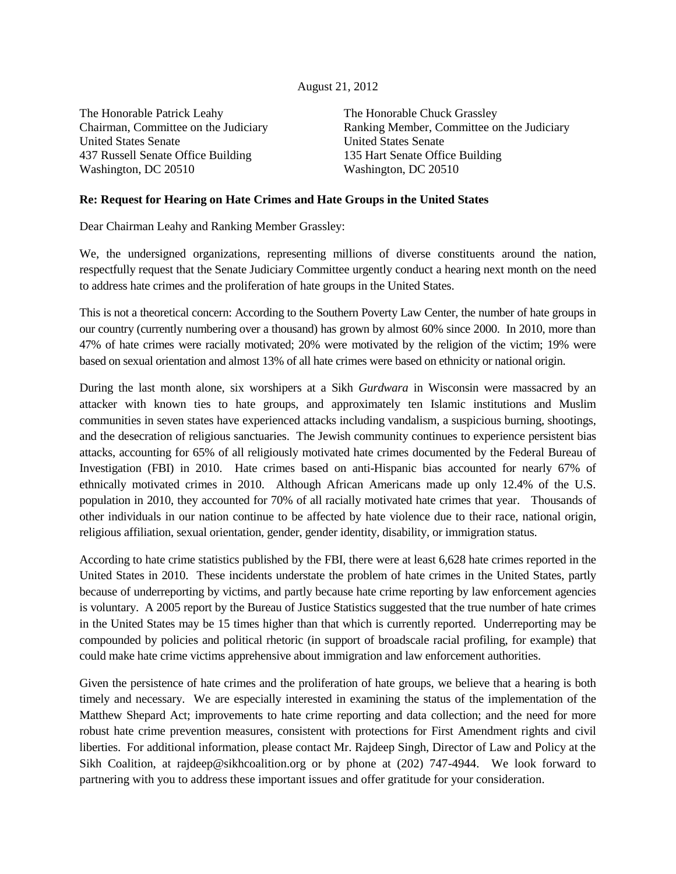## August 21, 2012

The Honorable Patrick Leahy Chairman, Committee on the Judiciary United States Senate 437 Russell Senate Office Building Washington, DC 20510

The Honorable Chuck Grassley Ranking Member, Committee on the Judiciary United States Senate 135 Hart Senate Office Building Washington, DC 20510

## **Re: Request for Hearing on Hate Crimes and Hate Groups in the United States**

Dear Chairman Leahy and Ranking Member Grassley:

We, the undersigned organizations, representing millions of diverse constituents around the nation, respectfully request that the Senate Judiciary Committee urgently conduct a hearing next month on the need to address hate crimes and the proliferation of hate groups in the United States.

This is not a theoretical concern: According to the Southern Poverty Law Center, the number of hate groups in our country (currently numbering over a thousand) has grown by almost 60% since 2000. In 2010, more than 47% of hate crimes were racially motivated; 20% were motivated by the religion of the victim; 19% were based on sexual orientation and almost 13% of all hate crimes were based on ethnicity or national origin.

During the last month alone, six worshipers at a Sikh *Gurdwara* in Wisconsin were massacred by an attacker with known ties to hate groups, and approximately ten Islamic institutions and Muslim communities in seven states have experienced attacks including vandalism, a suspicious burning, shootings, and the desecration of religious sanctuaries. The Jewish community continues to experience persistent bias attacks, accounting for 65% of all religiously motivated hate crimes documented by the Federal Bureau of Investigation (FBI) in 2010. Hate crimes based on anti-Hispanic bias accounted for nearly 67% of ethnically motivated crimes in 2010. Although African Americans made up only 12.4% of the U.S. population in 2010, they accounted for 70% of all racially motivated hate crimes that year. Thousands of other individuals in our nation continue to be affected by hate violence due to their race, national origin, religious affiliation, sexual orientation, gender, gender identity, disability, or immigration status.

According to hate crime statistics published by the FBI, there were at least 6,628 hate crimes reported in the United States in 2010. These incidents understate the problem of hate crimes in the United States, partly because of underreporting by victims, and partly because hate crime reporting by law enforcement agencies is voluntary. A 2005 report by the Bureau of Justice Statistics suggested that the true number of hate crimes in the United States may be 15 times higher than that which is currently reported. Underreporting may be compounded by policies and political rhetoric (in support of broadscale racial profiling, for example) that could make hate crime victims apprehensive about immigration and law enforcement authorities.

Given the persistence of hate crimes and the proliferation of hate groups, we believe that a hearing is both timely and necessary. We are especially interested in examining the status of the implementation of the Matthew Shepard Act; improvements to hate crime reporting and data collection; and the need for more robust hate crime prevention measures, consistent with protections for First Amendment rights and civil liberties. For additional information, please contact Mr. Rajdeep Singh, Director of Law and Policy at the Sikh Coalition, at rajdeep@sikhcoalition.org or by phone at (202) 747-4944. We look forward to partnering with you to address these important issues and offer gratitude for your consideration.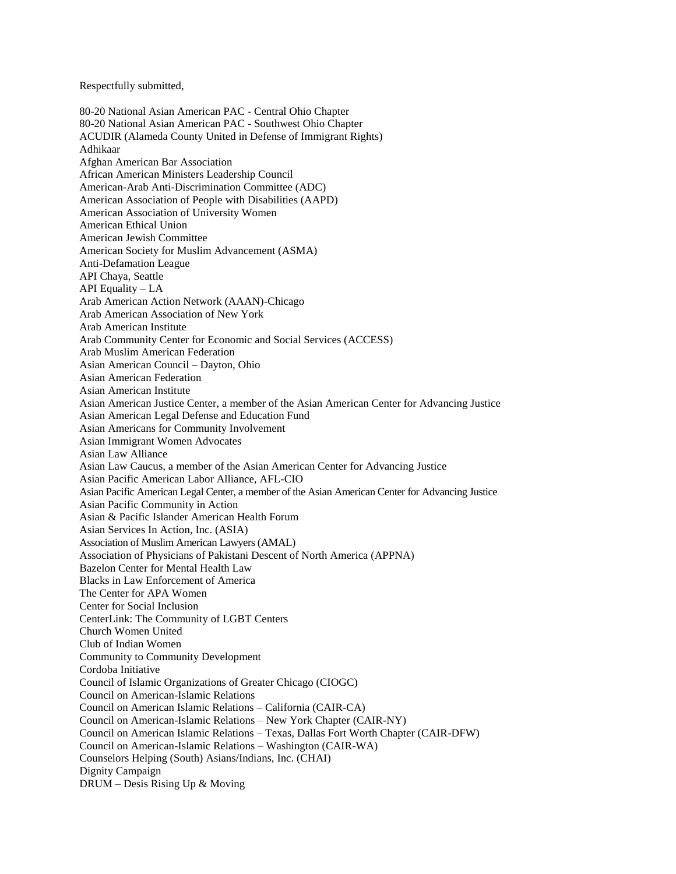Respectfully submitted,

80-20 National Asian American PAC - Central Ohio Chapter 80-20 National Asian American PAC - Southwest Ohio Chapter ACUDIR (Alameda County United in Defense of Immigrant Rights) Adhikaar Afghan American Bar Association African American Ministers Leadership Council American-Arab Anti-Discrimination Committee (ADC) American Association of People with Disabilities (AAPD) American Association of University Women American Ethical Union American Jewish Committee American Society for Muslim Advancement (ASMA) Anti-Defamation League API Chaya, Seattle API Equality – LA Arab American Action Network (AAAN)-Chicago Arab American Association of New York Arab American Institute Arab Community Center for Economic and Social Services (ACCESS) Arab Muslim American Federation Asian American Council – Dayton, Ohio Asian American Federation Asian American Institute Asian American Justice Center, a member of the Asian American Center for Advancing Justice Asian American Legal Defense and Education Fund Asian Americans for Community Involvement Asian Immigrant Women Advocates Asian Law Alliance Asian Law Caucus, a member of the Asian American Center for Advancing Justice Asian Pacific American Labor Alliance, AFL-CIO Asian Pacific American Legal Center, a member of the Asian American Center for Advancing Justice Asian Pacific Community in Action Asian & Pacific Islander American Health Forum Asian Services In Action, Inc. (ASIA) Association of Muslim American Lawyers (AMAL) Association of Physicians of Pakistani Descent of North America (APPNA) Bazelon Center for Mental Health Law Blacks in Law Enforcement of America The Center for APA Women Center for Social Inclusion CenterLink: The Community of LGBT Centers Church Women United Club of Indian Women Community to Community Development Cordoba Initiative Council of Islamic Organizations of Greater Chicago (CIOGC) Council on American-Islamic Relations Council on American Islamic Relations – California (CAIR-CA) Council on American-Islamic Relations – New York Chapter (CAIR-NY) Council on American Islamic Relations – Texas, Dallas Fort Worth Chapter (CAIR-DFW) Council on American-Islamic Relations – Washington (CAIR-WA) Counselors Helping (South) Asians/Indians, Inc. (CHAI) Dignity Campaign DRUM – Desis Rising Up & Moving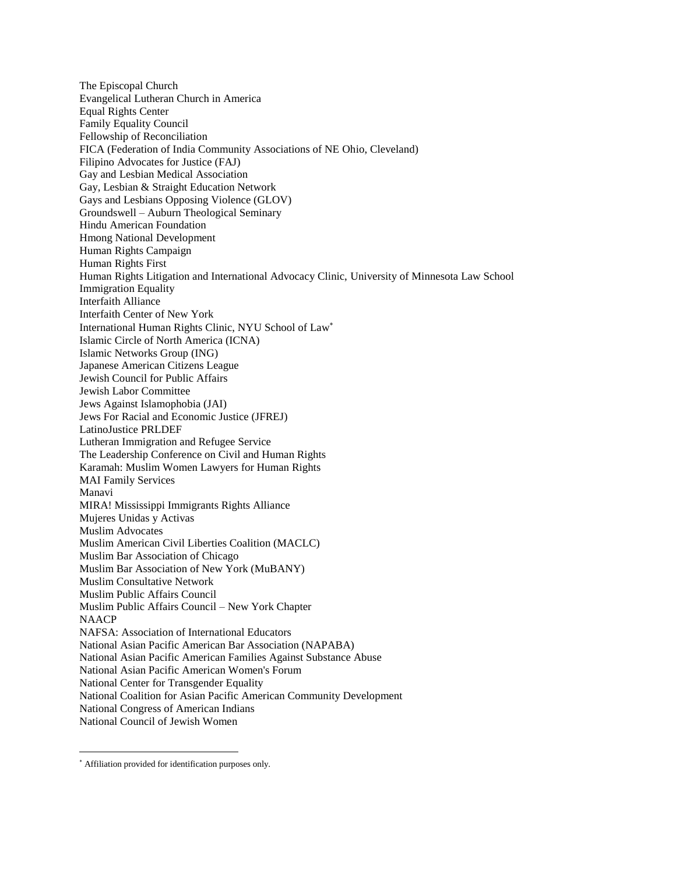The Episcopal Church Evangelical Lutheran Church in America Equal Rights Center Family Equality Council Fellowship of Reconciliation FICA (Federation of India Community Associations of NE Ohio, Cleveland) Filipino Advocates for Justice (FAJ) Gay and Lesbian Medical Association Gay, Lesbian & Straight Education Network Gays and Lesbians Opposing Violence (GLOV) Groundswell – Auburn Theological Seminary Hindu American Foundation Hmong National Development Human Rights Campaign Human Rights First Human Rights Litigation and International Advocacy Clinic, University of Minnesota Law School Immigration Equality Interfaith Alliance Interfaith Center of New York International Human Rights Clinic, NYU School of Law Islamic Circle of North America (ICNA) Islamic Networks Group (ING) Japanese American Citizens League Jewish Council for Public Affairs Jewish Labor Committee Jews Against Islamophobia (JAI) Jews For Racial and Economic Justice (JFREJ) LatinoJustice PRLDEF Lutheran Immigration and Refugee Service The Leadership Conference on Civil and Human Rights Karamah: Muslim Women Lawyers for Human Rights MAI Family Services Manavi MIRA! Mississippi Immigrants Rights Alliance Mujeres Unidas y Activas Muslim Advocates Muslim American Civil Liberties Coalition (MACLC) Muslim Bar Association of Chicago Muslim Bar Association of New York (MuBANY) Muslim Consultative Network Muslim Public Affairs Council Muslim Public Affairs Council – New York Chapter NAACP NAFSA: Association of International Educators National Asian Pacific American Bar Association (NAPABA) National Asian Pacific American Families Against Substance Abuse National Asian Pacific American Women's Forum National Center for Transgender Equality National Coalition for Asian Pacific American Community Development National Congress of American Indians National Council of Jewish Women

 $\overline{a}$ 

Affiliation provided for identification purposes only.